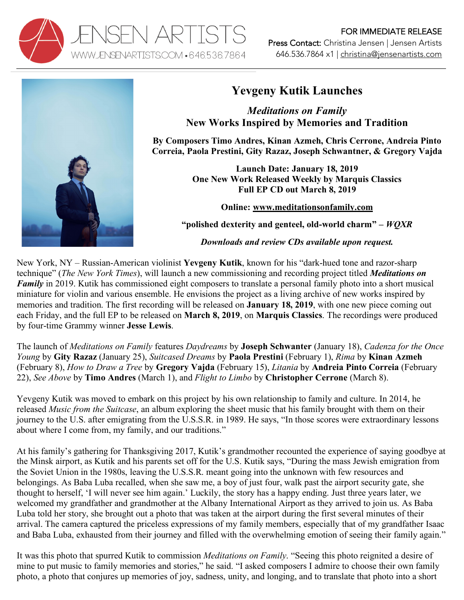



## **Yevgeny Kutik Launches**

*Meditations on Family* **New Works Inspired by Memories and Tradition**

**By Composers Timo Andres, Kinan Azmeh, Chris Cerrone, Andreia Pinto Correia, Paola Prestini, Gity Razaz, Joseph Schwantner, & Gregory Vajda** 

> **Launch Date: January 18, 2019 One New Work Released Weekly by Marquis Classics Full EP CD out March 8, 2019**

> > **Online: www.meditationsonfamily.com**

**"polished dexterity and genteel, old-world charm" –** *WQXR*

*Downloads and review CDs available upon request.*

New York, NY – Russian-American violinist **Yevgeny Kutik**, known for his "dark-hued tone and razor-sharp technique" (*The New York Times*), will launch a new commissioning and recording project titled *Meditations on Family* in 2019. Kutik has commissioned eight composers to translate a personal family photo into a short musical miniature for violin and various ensemble. He envisions the project as a living archive of new works inspired by memories and tradition. The first recording will be released on **January 18, 2019**, with one new piece coming out each Friday, and the full EP to be released on **March 8, 2019**, on **Marquis Classics**. The recordings were produced by four-time Grammy winner **Jesse Lewis**.

The launch of *Meditations on Family* features *Daydreams* by **Joseph Schwanter** (January 18), *Cadenza for the Once Young* by **Gity Razaz** (January 25), *Suitcased Dreams* by **Paola Prestini** (February 1), *Rima* by **Kinan Azmeh** (February 8), *How to Draw a Tree* by **Gregory Vajda** (February 15), *Litania* by **Andreia Pinto Correia** (February 22), *See Above* by **Timo Andres** (March 1), and *Flight to Limbo* by **Christopher Cerrone** (March 8).

Yevgeny Kutik was moved to embark on this project by his own relationship to family and culture. In 2014, he released *Music from the Suitcase*, an album exploring the sheet music that his family brought with them on their journey to the U.S. after emigrating from the U.S.S.R. in 1989. He says, "In those scores were extraordinary lessons about where I come from, my family, and our traditions."

At his family's gathering for Thanksgiving 2017, Kutik's grandmother recounted the experience of saying goodbye at the Minsk airport, as Kutik and his parents set off for the U.S. Kutik says, "During the mass Jewish emigration from the Soviet Union in the 1980s, leaving the U.S.S.R. meant going into the unknown with few resources and belongings. As Baba Luba recalled, when she saw me, a boy of just four, walk past the airport security gate, she thought to herself, 'I will never see him again.' Luckily, the story has a happy ending. Just three years later, we welcomed my grandfather and grandmother at the Albany International Airport as they arrived to join us. As Baba Luba told her story, she brought out a photo that was taken at the airport during the first several minutes of their arrival. The camera captured the priceless expressions of my family members, especially that of my grandfather Isaac and Baba Luba, exhausted from their journey and filled with the overwhelming emotion of seeing their family again."

It was this photo that spurred Kutik to commission *Meditations on Family*. "Seeing this photo reignited a desire of mine to put music to family memories and stories," he said. "I asked composers I admire to choose their own family photo, a photo that conjures up memories of joy, sadness, unity, and longing, and to translate that photo into a short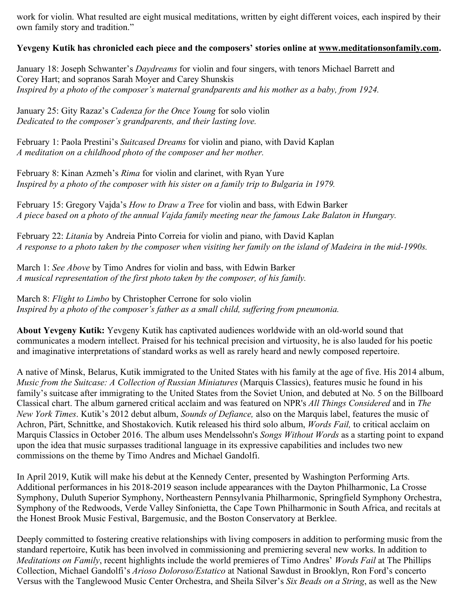work for violin. What resulted are eight musical meditations, written by eight different voices, each inspired by their own family story and tradition."

## **Yevgeny Kutik has chronicled each piece and the composers' stories online at www.meditationsonfamily.com.**

January 18: Joseph Schwanter's *Daydreams* for violin and four singers, with tenors Michael Barrett and Corey Hart; and sopranos Sarah Moyer and Carey Shunskis *Inspired by a photo of the composer's maternal grandparents and his mother as a baby, from 1924.*

January 25: Gity Razaz's *Cadenza for the Once Young* for solo violin *Dedicated to the composer's grandparents, and their lasting love.*

February 1: Paola Prestini's *Suitcased Dreams* for violin and piano, with David Kaplan *A meditation on a childhood photo of the composer and her mother.*

February 8: Kinan Azmeh's *Rima* for violin and clarinet, with Ryan Yure *Inspired by a photo of the composer with his sister on a family trip to Bulgaria in 1979.*

February 15: Gregory Vajda's *How to Draw a Tree* for violin and bass, with Edwin Barker *A piece based on a photo of the annual Vajda family meeting near the famous Lake Balaton in Hungary.*

February 22: *Litania* by Andreia Pinto Correia for violin and piano, with David Kaplan *A response to a photo taken by the composer when visiting her family on the island of Madeira in the mid-1990s.*

March 1: *See Above* by Timo Andres for violin and bass, with Edwin Barker *A musical representation of the first photo taken by the composer, of his family.*

March 8: *Flight to Limbo* by Christopher Cerrone for solo violin *Inspired by a photo of the composer's father as a small child, suffering from pneumonia.*

**About Yevgeny Kutik:** Yevgeny Kutik has captivated audiences worldwide with an old-world sound that communicates a modern intellect. Praised for his technical precision and virtuosity, he is also lauded for his poetic and imaginative interpretations of standard works as well as rarely heard and newly composed repertoire.

A native of Minsk, Belarus, Kutik immigrated to the United States with his family at the age of five. His 2014 album, *Music from the Suitcase: A Collection of Russian Miniatures* (Marquis Classics), features music he found in his family's suitcase after immigrating to the United States from the Soviet Union, and debuted at No. 5 on the Billboard Classical chart. The album garnered critical acclaim and was featured on NPR's *All Things Considered* and in *The New York Times*. Kutik's 2012 debut album, *Sounds of Defiance,* also on the Marquis label, features the music of Achron, Pärt, Schnittke, and Shostakovich. Kutik released his third solo album, *Words Fail,* to critical acclaim on Marquis Classics in October 2016. The album uses Mendelssohn's *Songs Without Words* as a starting point to expand upon the idea that music surpasses traditional language in its expressive capabilities and includes two new commissions on the theme by Timo Andres and Michael Gandolfi.

In April 2019, Kutik will make his debut at the Kennedy Center, presented by Washington Performing Arts. Additional performances in his 2018-2019 season include appearances with the Dayton Philharmonic, La Crosse Symphony, Duluth Superior Symphony, Northeastern Pennsylvania Philharmonic, Springfield Symphony Orchestra, Symphony of the Redwoods, Verde Valley Sinfonietta, the Cape Town Philharmonic in South Africa, and recitals at the Honest Brook Music Festival, Bargemusic, and the Boston Conservatory at Berklee.

Deeply committed to fostering creative relationships with living composers in addition to performing music from the standard repertoire, Kutik has been involved in commissioning and premiering several new works. In addition to *Meditations on Family*, recent highlights include the world premieres of Timo Andres' *Words Fail* at The Phillips Collection, Michael Gandolfi's *Arioso Doloroso/Estatico* at National Sawdust in Brooklyn, Ron Ford's concerto Versus with the Tanglewood Music Center Orchestra, and Sheila Silver's *Six Beads on a String*, as well as the New